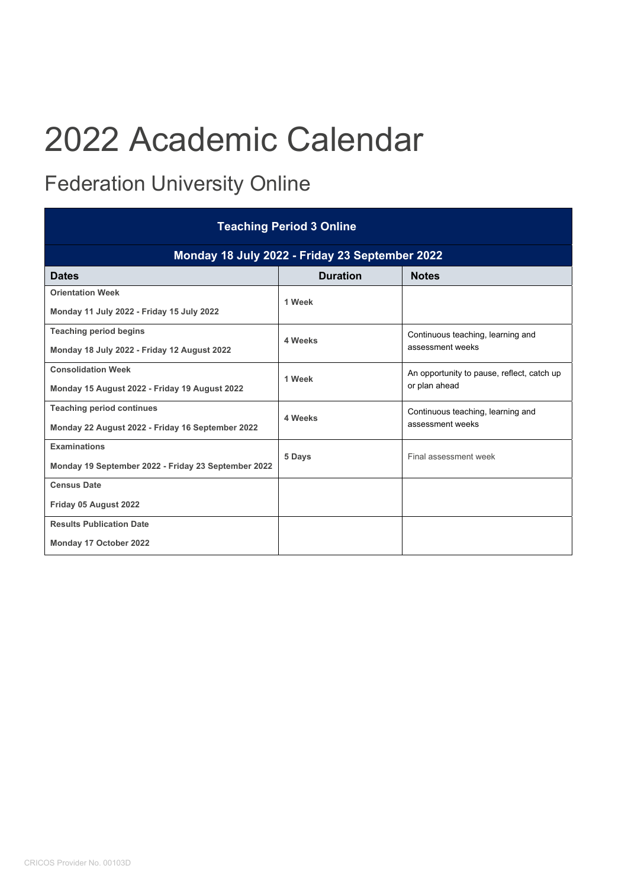## 2022 Academic Calendar

## Federation University Online

| <b>Teaching Period 3 Online</b>                     |                 |                                                             |  |
|-----------------------------------------------------|-----------------|-------------------------------------------------------------|--|
| Monday 18 July 2022 - Friday 23 September 2022      |                 |                                                             |  |
| <b>Dates</b>                                        | <b>Duration</b> | <b>Notes</b>                                                |  |
| <b>Orientation Week</b>                             | 1 Week          |                                                             |  |
| Monday 11 July 2022 - Friday 15 July 2022           |                 |                                                             |  |
| <b>Teaching period begins</b>                       | 4 Weeks         | Continuous teaching, learning and<br>assessment weeks       |  |
| Monday 18 July 2022 - Friday 12 August 2022         |                 |                                                             |  |
| <b>Consolidation Week</b>                           | 1 Week          | An opportunity to pause, reflect, catch up<br>or plan ahead |  |
| Monday 15 August 2022 - Friday 19 August 2022       |                 |                                                             |  |
| <b>Teaching period continues</b>                    | 4 Weeks         | Continuous teaching, learning and<br>assessment weeks       |  |
| Monday 22 August 2022 - Friday 16 September 2022    |                 |                                                             |  |
| <b>Examinations</b>                                 | 5 Days          | Final assessment week                                       |  |
| Monday 19 September 2022 - Friday 23 September 2022 |                 |                                                             |  |
| <b>Census Date</b>                                  |                 |                                                             |  |
| Friday 05 August 2022                               |                 |                                                             |  |
| <b>Results Publication Date</b>                     |                 |                                                             |  |
| Monday 17 October 2022                              |                 |                                                             |  |